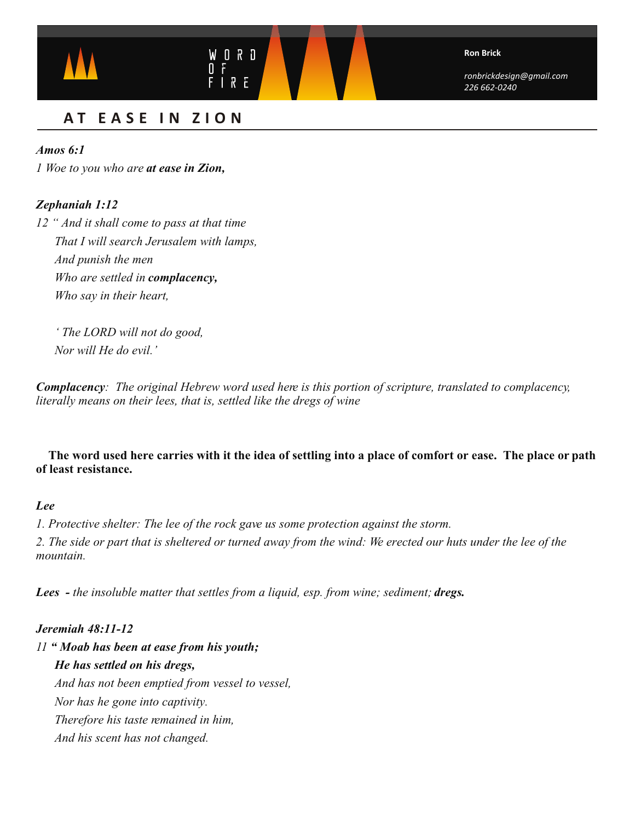

# **A T EASE I N ZION**

# *Amos 6:1*

*1 Woe to you who are at ease in Zion,*

# *Zephaniah 1:12*

*12 " And it shall come to pass at that time That I will search Jerusalem with lamps, And punish the men Who are settled in complacency, Who say in their heart,*

 *' The LORD will not do good, Nor will He do evil.'*

*Complacency: The original Hebrew word used here is this portion of scripture, translated to complacency, literally means on their lees, that is, settled like the dregs of wine*

# **The word used here carries with it the idea of settling into a place of comfort or ease. The place or path of least resistance.**

# *Lee*

*1. Protective shelter: The lee of the rock gave us some protection against the storm.* 2. The side or part that is sheltered or turned away from the wind: We erected our huts under the lee of the *mountain.* 

Lees - *the insoluble matter that settles from a liquid, esp. from wine; sediment; dregs.* 

# *Jeremiah 48:11-12*

*11 " Moab has been at ease from his youth; He has settled on his dregs, And has not been emptied from vessel to vessel, Nor has he gone into captivity. Therefore his taste remained in him, And his scent has not changed.*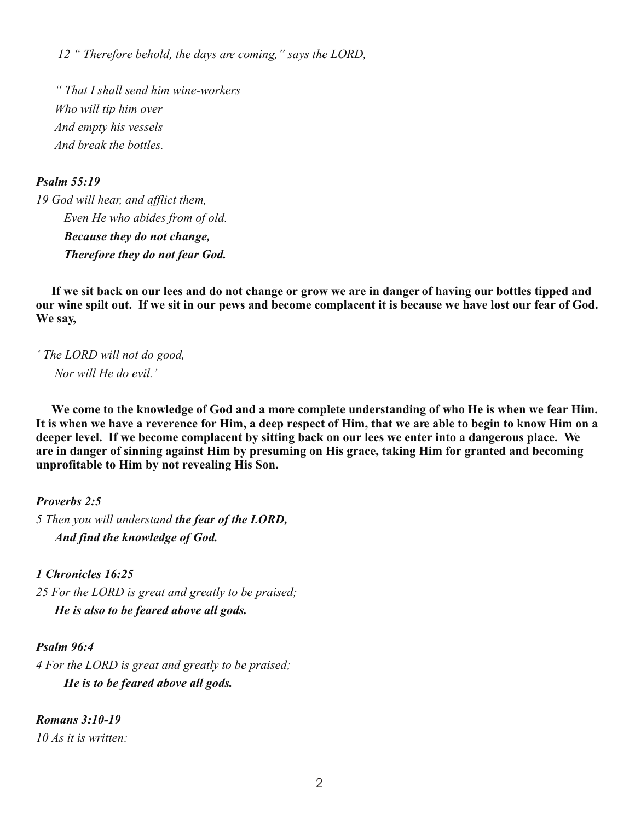*12 " Therefore behold, the days are coming," says the LORD,*

 *" That I shall send him wine-workers Who will tip him over And empty his vessels And break the bottles.* 

# *Psalm 55:19*

*19 God will hear, and afflict them, Even He who abides from of old. Because they do not change, Therefore they do not fear God.*

**If we sit back on our lees and do not change or grow we are in danger of having our bottles tipped and our wine spilt out. If we sit in our pews and become complacent it is because we have lost our fear of God. We say,** 

*' The LORD will not do good, Nor will He do evil.'*

**We come to the knowledge of God and a more complete understanding of who He is when we fear Him. It is when we have a reverence for Him, a deep respect of Him, that we are able to begin to know Him on a deeper level. If we become complacent by sitting back on our lees we enter into a dangerous place. We are in danger of sinning against Him by presuming on His grace, taking Him for granted and becoming unprofitable to Him by not revealing His Son.**

*Proverbs 2:5*

*5 Then you will understand the fear of the LORD, And find the knowledge of God.* 

*1 Chronicles 16:25 25 For the LORD is great and greatly to be praised; He is also to be feared above all gods.*

# *Psalm 96:4*

*4 For the LORD is great and greatly to be praised; He is to be feared above all gods.*

*Romans 3:10-19 10 As it is written:*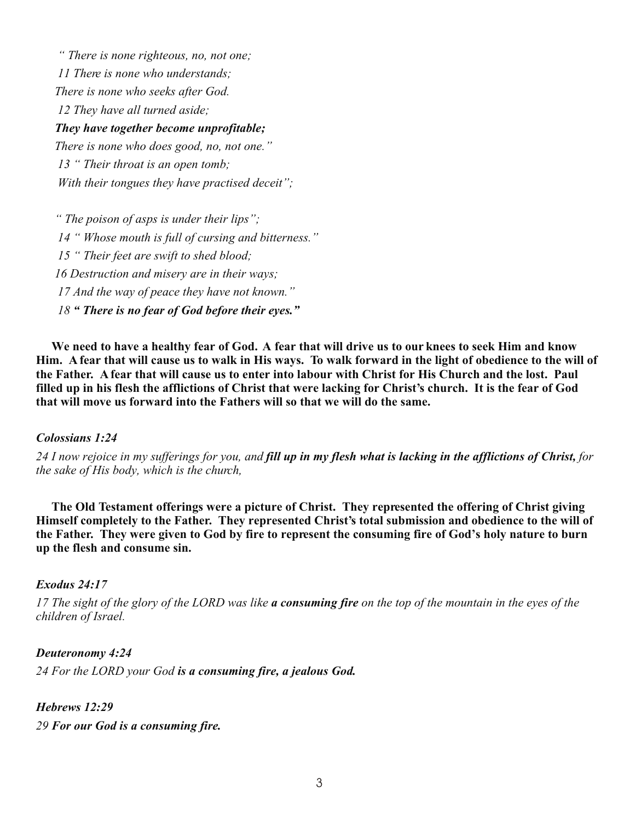*" There is none righteous, no, not one; 11 There is none who understands; There is none who seeks after God. 12 They have all turned aside; They have together become unprofitable; There is none who does good, no, not one." 13 " Their throat is an open tomb;*

 *With their tongues they have practised deceit";*

 *" The poison of asps is under their lips"; 14 " Whose mouth is full of cursing and bitterness." 15 " Their feet are swift to shed blood; 16 Destruction and misery are in their ways; 17 And the way of peace they have not known." 18 " There is no fear of God before their eyes."*

**We need to have a healthy fear of God. A fear that will drive us to our knees to seek Him and know Him. A fear that will cause us to walk in His ways. To walk forward in the light of obedience to the will of the Father. A fear that will cause us to enter into labour with Christ for His Church and the lost. Paul filled up in his flesh the afflictions of Christ that were lacking for Christ's church. It is the fear of God that will move us forward into the Fathers will so that we will do the same.**

# *Colossians 1:24*

*24 I now rejoice in my sufferings for you, and fill up in my flesh what is lacking in the afflictions of Christ, for the sake of His body, which is the church,*

**The Old Testament offerings were a picture of Christ. They represented the offering of Christ giving Himself completely to the Father. They represented Christ's total submission and obedience to the will of the Father. They were given to God by fire to represent the consuming fire of God's holy nature to burn up the flesh and consume sin.** 

## *Exodus 24:17*

*17 The sight of the glory of the LORD was like a consuming fire on the top of the mountain in the eyes of the children of Israel.*

*Deuteronomy 4:24 24 For the LORD your God is a consuming fire, a jealous God.* 

*Hebrews 12:29 29 For our God is a consuming fire.*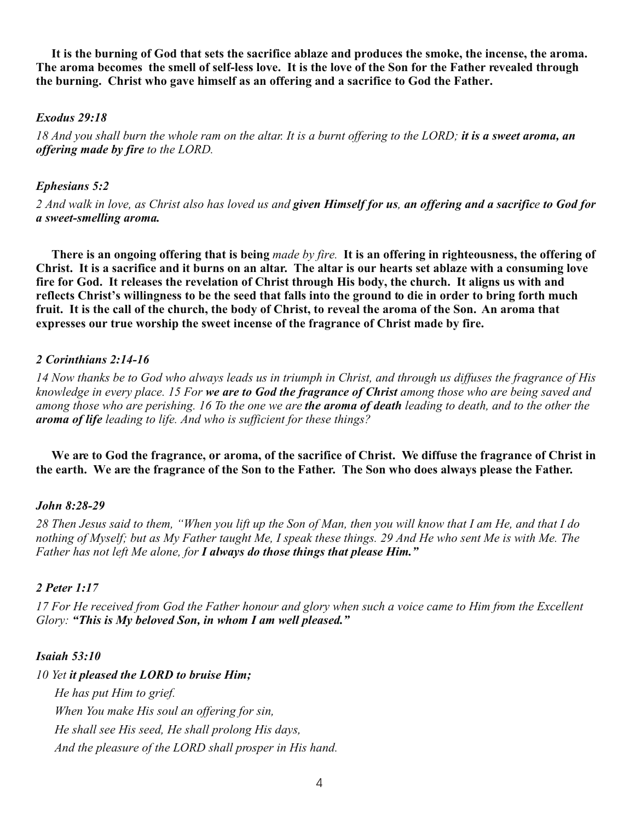**It is the burning of God that sets the sacrifice ablaze and produces the smoke, the incense, the aroma. The aroma becomes the smell of self-less love. It is the love of the Son for the Father revealed through the burning. Christ who gave himself as an offering and a sacrifice to God the Father.**

## *Exodus 29:18*

*18 And you shall burn the whole ram on the altar. It is a burnt offering to the LORD; it is a sweet aroma, an offering made by fire to the LORD.*

## *Ephesians 5:2*

*2 And walk in love, as Christ also has loved us and given Himself for us, an offering and a sacrifice to God for a sweet-smelling aroma.*

**There is an ongoing offering that is being** *made by fire.* **It is an offering in righteousness, the offering of Christ. It is a sacrifice and it burns on an altar. The altar is our hearts set ablaze with a consuming love fire for God. It releases the revelation of Christ through His body, the church. It aligns us with and reflects Christ's willingness to be the seed that falls into the ground to die in order to bring forth much fruit. It is the call of the church, the body of Christ, to reveal the aroma of the Son. An aroma that expresses our true worship the sweet incense of the fragrance of Christ made by fire.** 

## *2 Corinthians 2:14-16*

*14 Now thanks be to God who always leads us in triumph in Christ, and through us diffuses the fragrance of His knowledge in every place. 15 For we are to God the fragrance of Christ among those who are being saved and among those who are perishing. 16 To the one we are the aroma of death leading to death, and to the other the aroma of life leading to life. And who is sufficient for these things?*

**We are to God the fragrance, or aroma, of the sacrifice of Christ. We diffuse the fragrance of Christ in the earth. We are the fragrance of the Son to the Father. The Son who does always please the Father.** 

## *John 8:28-29*

*28 Then Jesus said to them, "When you lift up the Son of Man, then you will know that I am He, and that I do nothing of Myself; but as My Father taught Me, I speak these things. 29 And He who sent Me is with Me. The Father has not left Me alone, for I always do those things that please Him."*

## *2 Peter 1:17*

*17 For He received from God the Father honour and glory when such a voice came to Him from the Excellent Glory: "This is My beloved Son, in whom I am well pleased."*

## *Isaiah 53:10*

*10 Yet it pleased the LORD to bruise Him; He has put Him to grief. When You make His soul an offering for sin, He shall see His seed, He shall prolong His days, And the pleasure of the LORD shall prosper in His hand.*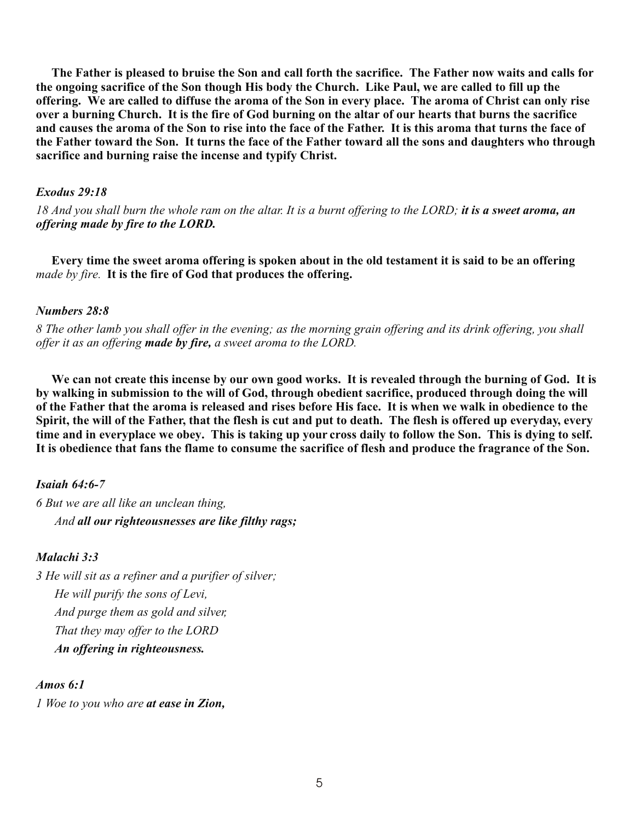**The Father is pleased to bruise the Son and call forth the sacrifice. The Father now waits and calls for the ongoing sacrifice of the Son though His body the Church. Like Paul, we are called to fill up the offering. We are called to diffuse the aroma of the Son in every place. The aroma of Christ can only rise over a burning Church. It is the fire of God burning on the altar of our hearts that burns the sacrifice and causes the aroma of the Son to rise into the face of the Father. It is this aroma that turns the face of the Father toward the Son. It turns the face of the Father toward all the sons and daughters who through sacrifice and burning raise the incense and typify Christ.**

## *Exodus 29:18*

*18 And you shall burn the whole ram on the altar. It is a burnt offering to the LORD; it is a sweet aroma, an offering made by fire to the LORD.*

**Every time the sweet aroma offering is spoken about in the old testament it is said to be an offering**  *made by fire.* **It is the fire of God that produces the offering.** 

#### *Numbers 28:8*

*8 The other lamb you shall offer in the evening; as the morning grain offering and its drink offering, you shall offer it as an offering made by fire, a sweet aroma to the LORD.*

 **We can not create this incense by our own good works. It is revealed through the burning of God. It is by walking in submission to the will of God, through obedient sacrifice, produced through doing the will of the Father that the aroma is released and rises before His face. It is when we walk in obedience to the Spirit, the will of the Father, that the flesh is cut and put to death. The flesh is offered up everyday, every time and in everyplace we obey. This is taking up your cross daily to follow the Son. This is dying to self. It is obedience that fans the flame to consume the sacrifice of flesh and produce the fragrance of the Son.**

## *Isaiah 64:6-7*

*6 But we are all like an unclean thing, And all our righteousnesses are like filthy rags;*

## *Malachi 3:3*

*3 He will sit as a refiner and a purifier of silver; He will purify the sons of Levi, And purge them as gold and silver, That they may offer to the LORD An offering in righteousness.*

## *Amos 6:1*

*1 Woe to you who are at ease in Zion,*